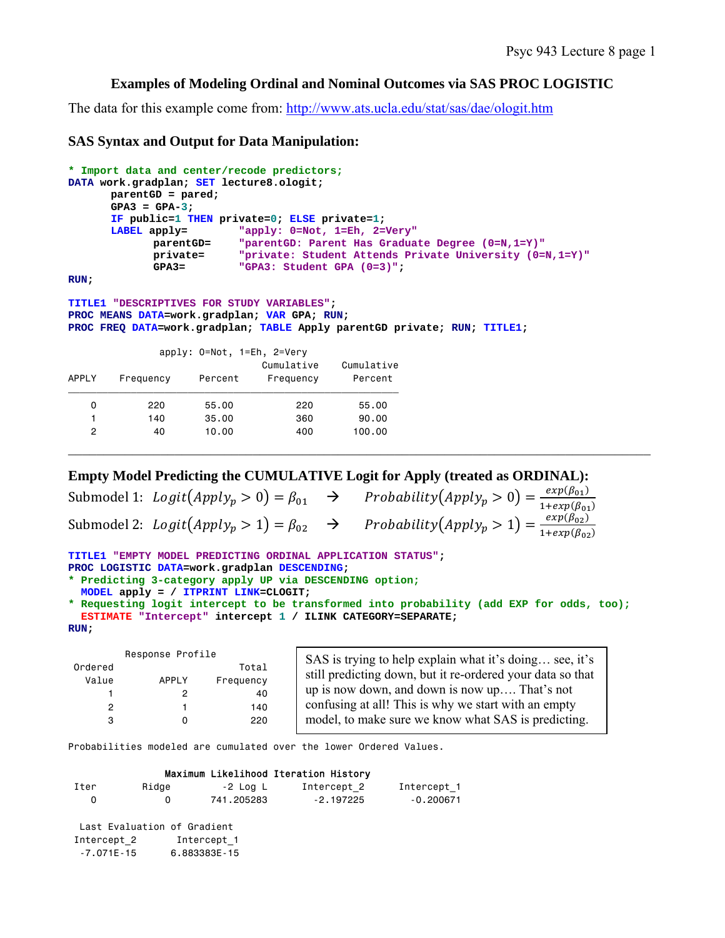## **Examples of Modeling Ordinal and Nominal Outcomes via SAS PROC LOGISTIC**

The data for this example come from: http://www.ats.ucla.edu/stat/sas/dae/ologit.htm

## **SAS Syntax and Output for Data Manipulation:**

```
* Import data and center/recode predictors;
DATA work.gradplan; SET lecture8.ologit; 
       parentGD = pared; 
       GPA3 = GPA-3; 
      IF public=1 THEN private=0; ELSE private=1; 
      LABEL apply= "apply: 0=Not, 1=Eh, 2=Very"
 parentGD= "parentGD: Parent Has Graduate Degree (0=N,1=Y)"
             private= "private: Student Attends Private University (0=N,1=Y)"
             GPA3= "GPA3: Student GPA (0=3)"; 
RUN;
```

```
TITLE1 "DESCRIPTIVES FOR STUDY VARIABLES"; 
PROC MEANS DATA=work.gradplan; VAR GPA; RUN; 
PROC FREQ DATA=work.gradplan; TABLE Apply parentGD private; RUN; TITLE1;
```

|              |           | apply: 0=Not, 1=Eh, 2=Very |                         |                       |
|--------------|-----------|----------------------------|-------------------------|-----------------------|
| <b>APPLY</b> | Frequency | Percent                    | Cumulative<br>Frequency | Cumulative<br>Percent |
|              |           |                            |                         |                       |
| 0            | 220       | 55,00                      | 220                     | 55,00                 |
|              | 140       | 35.00                      | 360                     | 90.00                 |
| 2            | 40        | 10.00                      | 400                     | 100.00                |
|              |           |                            |                         |                       |

## **Empty Model Predicting the CUMULATIVE Logit for Apply (treated as ORDINAL):**

Submodel 1:  $\text{Logit}(\text{Apply}_p > 0) = \beta_{01} \rightarrow \text{Probability}(\text{Apply}_p > 0) = \frac{\exp(\beta_{01})}{1 + \exp(\beta_{01})}$ Submodel 2:  $\text{Logit}(\text{Apply}_p > 1) = \beta_{02} \rightarrow \text{Probability}(\text{Apply}_p > 1) = \frac{\exp(\beta_{02})}{1 + \exp(\beta_{02})}$ 

```
TITLE1 "EMPTY MODEL PREDICTING ORDINAL APPLICATION STATUS"; 
PROC LOGISTIC DATA=work.gradplan DESCENDING; 
* Predicting 3-category apply UP via DESCENDING option;
```

```
 MODEL apply = / ITPRINT LINK=CLOGIT;
```

```
* Requesting logit intercept to be transformed into probability (add EXP for odds, too);
   ESTIMATE "Intercept" intercept 1 / ILINK CATEGORY=SEPARATE; 
RUN;
```

| Response Profile |           |  |  |  |  |
|------------------|-----------|--|--|--|--|
|                  | Total     |  |  |  |  |
| APPLY            | Frequency |  |  |  |  |
| 2                | 40        |  |  |  |  |
| 1                | 140       |  |  |  |  |
| n                | 220       |  |  |  |  |
|                  |           |  |  |  |  |

SAS is trying to help explain what it's doing… see, it's still predicting down, but it re-ordered your data so that up is now down, and down is now up…. That's not confusing at all! This is why we start with an empty model, to make sure we know what SAS is predicting.

Probabilities modeled are cumulated over the lower Ordered Values.

### Maximum Likelihood Iteration History

| Iter | Ridge | -2 Log L   | Intercept 2 | Intercept 1 |
|------|-------|------------|-------------|-------------|
|      |       | 741.205283 | $-2.197225$ | -0.200671   |

 Last Evaluation of Gradient Intercept 2 Intercept 1 -7.071E-15 6.883383E-15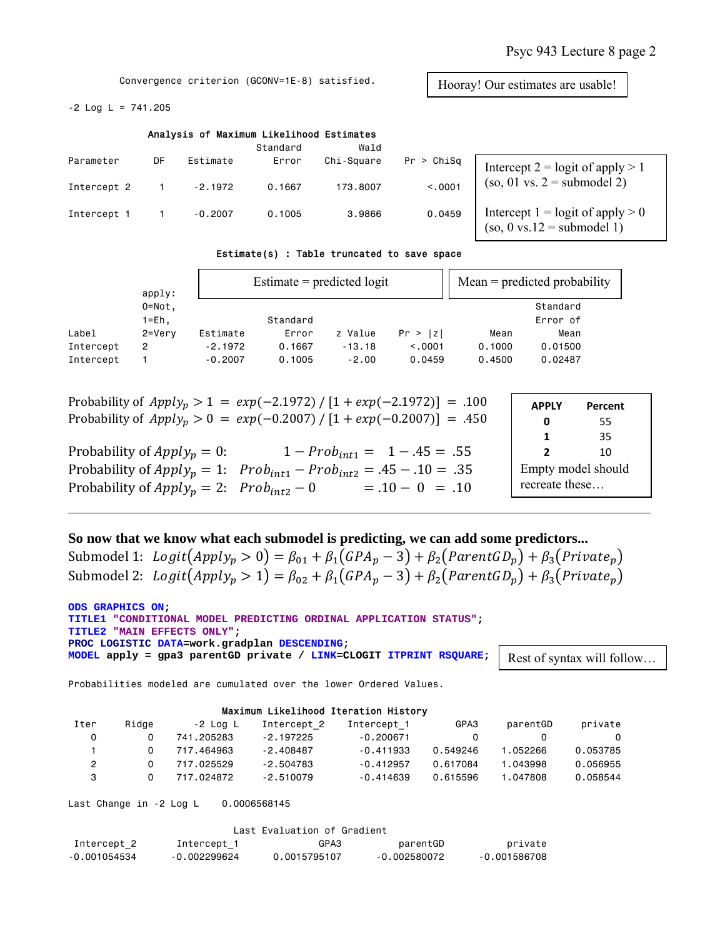Hooray! Our estimates are usable!

Convergence criterion (GCONV=1E-8) satisfied.

 $-2$  Log L = 741.205

|             |    |           | Analysis of Maximum Likelihood Estimates<br>Standard | Wald       |            |                                                                                        |
|-------------|----|-----------|------------------------------------------------------|------------|------------|----------------------------------------------------------------------------------------|
| Parameter   | DF | Estimate  | Error                                                | Chi-Square | Pr > Chisq | Intercept $2 =$ logit of apply $> 1$                                                   |
| Intercept 2 |    | $-2.1972$ | 0.1667                                               | 173,8007   | < .0001    | $(so, 01 \text{ vs. } 2 = \text{submodel } 2)$                                         |
| Intercept 1 |    | $-0.2007$ | 0.1005                                               | 3,9866     | 0.0459     | Intercept $1 =$ logit of apply $> 0$<br>$(so, 0 \text{ vs. } 12 = \text{submodel } 1)$ |

### Estimate(s) : Table truncated to save space

|           | apply:     |           | Estimate $=$ predicted logit |          |         |        | $Mean = predicted probability$ |  |
|-----------|------------|-----------|------------------------------|----------|---------|--------|--------------------------------|--|
|           | $0 = Not.$ |           |                              |          |         |        | Standard                       |  |
|           | 1=Eh.      |           | Standard                     |          |         |        | Error of                       |  |
| Label     | $2 = Verv$ | Estimate  | Error                        | z Value  | Pr >  z | Mean   | Mean                           |  |
| Intercept | 2          | $-2.1972$ | 0.1667                       | $-13.18$ | < 0.001 | 0.1000 | 0.01500                        |  |
| Intercept |            | $-0.2007$ | 0.1005                       | $-2.00$  | 0.0459  | 0.4500 | 0.02487                        |  |

| Probability of $Apply_p > 1 = exp(-2.1972) / [1 + exp(-2.1972)] = .100$ |  |
|-------------------------------------------------------------------------|--|
| Probability of $Apply_p > 0 = exp(-0.2007) / [1 + exp(-0.2007)] = .450$ |  |

| Probability of $Apply_p = 0$ :                                               | $1 - Prob_{int1} = 1 - .45 = .55$ |
|------------------------------------------------------------------------------|-----------------------------------|
| Probability of $Apply_p = 1$ : $Prob_{int1} - Prob_{int2} = .45 - .10 = .35$ |                                   |
| Probability of $Apply_p = 2$ : $Prob_{int2} - 0$                             | $= .10 - 0 = .10$                 |

| <b>APPLY</b>                         | Percent |  |  |
|--------------------------------------|---------|--|--|
| 0                                    | 55      |  |  |
| 1                                    | 35      |  |  |
| 2                                    | 10      |  |  |
| Empty model should<br>recreate these |         |  |  |

## **So now that we know what each submodel is predicting, we can add some predictors...**

Submodel 1:  $Logit(Apply_p > 0) = \beta_{01} + \beta_1(GPA_p - 3) + \beta_2(ParentGD_p) + \beta_3(Private_p)$ Submodel 2:  $Logit(Apply_p > 1) = \beta_{02} + \beta_1(GPA_p - 3) + \beta_2(ParentGD_p) + \beta_3(Private_p)$ 

 $\_$  , and the contribution of the contribution of the contribution of the contribution of  $\mathcal{L}_\mathcal{A}$ 

**ODS GRAPHICS ON; TITLE1 "CONDITIONAL MODEL PREDICTING ORDINAL APPLICATION STATUS"; TITLE2 "MAIN EFFECTS ONLY"; PROC LOGISTIC DATA=work.gradplan DESCENDING; MODEL apply = gpa3 parentGD private / LINK=CLOGIT ITPRINT RSQUARE;** 

Rest of syntax will follow…

Probabilities modeled are cumulated over the lower Ordered Values.

### Maximum Likelihood Iteration History

| Iter | Ridae | -2 Loa L   | Intercept 2 | Intercept 1 | GPA3     | parentGD | private  |
|------|-------|------------|-------------|-------------|----------|----------|----------|
| 0    |       | 741.205283 | $-2.197225$ | $-0.200671$ |          |          |          |
|      |       | 717.464963 | $-2.408487$ | $-0.411933$ | 0.549246 | 1.052266 | 0.053785 |
| 2    |       | 717.025529 | $-2.504783$ | $-0.412957$ | 0.617084 | 1.043998 | 0.056955 |
|      |       | 717.024872 | $-2.510079$ | $-0.414639$ | 0.615596 | 1.047808 | 0.058544 |

Last Change in -2 Log L 0.0006568145

| Last Evaluation of Gradient |              |              |              |              |  |  |
|-----------------------------|--------------|--------------|--------------|--------------|--|--|
| Intercept 2                 | Intercept 1  | GPA3         | parentGD     | private      |  |  |
| -0.001054534                | -0.002299624 | 0.0015795107 | -0.002580072 | -0.001586708 |  |  |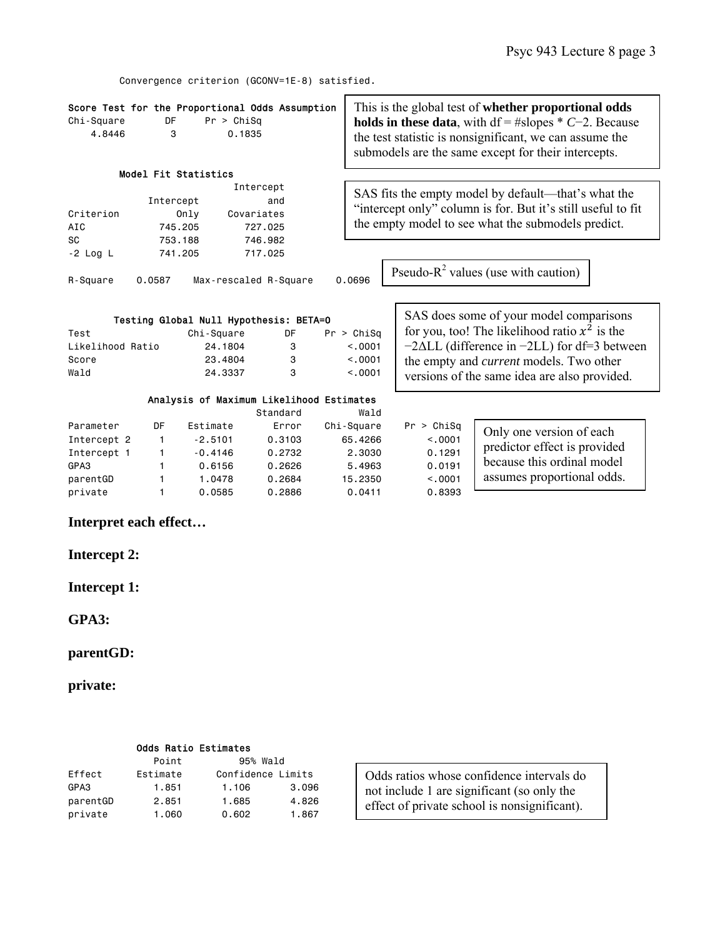Convergence criterion (GCONV=1E-8) satisfied.

| Score Test for the Proportional Odds Assumption<br>Chi-Square<br>DF<br>Pr > Chisq<br>4.8446<br>0.1835<br>3 |                                                              |                                                                  |                                                         |                                                                | This is the global test of <b>whether proportional odds</b><br><b>holds in these data</b> , with $df = #slopes * C-2$ . Because<br>the test statistic is nonsignificant, we can assume the<br>submodels are the same except for their intercepts. |                                                                                                                      |  |  |
|------------------------------------------------------------------------------------------------------------|--------------------------------------------------------------|------------------------------------------------------------------|---------------------------------------------------------|----------------------------------------------------------------|---------------------------------------------------------------------------------------------------------------------------------------------------------------------------------------------------------------------------------------------------|----------------------------------------------------------------------------------------------------------------------|--|--|
|                                                                                                            |                                                              | Model Fit Statistics                                             | Intercept                                               |                                                                | SAS fits the empty model by default—that's what the                                                                                                                                                                                               |                                                                                                                      |  |  |
| Criterion<br>AIC                                                                                           | Intercept<br>and<br>Only<br>Covariates<br>745.205<br>727.025 |                                                                  |                                                         |                                                                | "intercept only" column is for. But it's still useful to fit<br>the empty model to see what the submodels predict.                                                                                                                                |                                                                                                                      |  |  |
| SC<br>$-2$ Log L                                                                                           | 753.188<br>741.205                                           |                                                                  | 746.982<br>717.025                                      |                                                                |                                                                                                                                                                                                                                                   |                                                                                                                      |  |  |
| Pseudo- $R^2$ values (use with caution)<br>Max-rescaled R-Square<br>0.0696<br>0.0587<br>R-Square           |                                                              |                                                                  |                                                         |                                                                |                                                                                                                                                                                                                                                   |                                                                                                                      |  |  |
|                                                                                                            |                                                              | Testing Global Null Hypothesis: BETA=0                           |                                                         |                                                                |                                                                                                                                                                                                                                                   | SAS does some of your model comparisons                                                                              |  |  |
| Test<br>Likelihood Ratio                                                                                   |                                                              | Chi-Square<br>24.1804                                            | DF<br>3                                                 | Pr > Chisq<br>< 0.001                                          | for you, too! The likelihood ratio $x^2$ is the<br>$-2\Delta LL$ (difference in $-2LL$ ) for df=3 between                                                                                                                                         |                                                                                                                      |  |  |
| Score<br>Wald                                                                                              | 23.4804<br>3<br>24,3337<br>3                                 |                                                                  |                                                         | < 0.001<br>< 0.001                                             | the empty and <i>current</i> models. Two other<br>versions of the same idea are also provided.                                                                                                                                                    |                                                                                                                      |  |  |
|                                                                                                            | Analysis of Maximum Likelihood Estimates<br>Standard<br>Wald |                                                                  |                                                         |                                                                |                                                                                                                                                                                                                                                   |                                                                                                                      |  |  |
| Parameter<br>Intercept 2<br>Intercept 1<br>GPA3<br>parentGD<br>private                                     | DF<br>1<br>1<br>1.<br>1<br>1                                 | Estimate<br>$-2.5101$<br>$-0.4146$<br>0.6156<br>1.0478<br>0.0585 | Error<br>0.3103<br>0.2732<br>0.2626<br>0.2684<br>0.2886 | Chi-Square<br>65,4266<br>2,3030<br>5,4963<br>15,2350<br>0.0411 | Pr > Chisq<br>< 0.001<br>0.1291<br>0.0191<br>< 0.001<br>0.8393                                                                                                                                                                                    | Only one version of each<br>predictor effect is provided<br>because this ordinal model<br>assumes proportional odds. |  |  |

**Interpret each effect…** 

**Intercept 2:** 

**Intercept 1:** 

**GPA3:** 

**parentGD:** 

**private:** 

|          | <b>Odds Ratio Estimates</b> |                   |       |
|----------|-----------------------------|-------------------|-------|
|          | Point                       | 95% Wald          |       |
| Effect   | Estimate                    | Confidence Limits |       |
| GPA3     | 1.851                       | 1,106             | 3,096 |
| parentGD | 2.851                       | 1.685             | 4.826 |
| private  | 1,060                       | 0.602             | 1,867 |

Odds ratios whose confidence intervals do not include 1 are significant (so only the effect of private school is nonsignificant).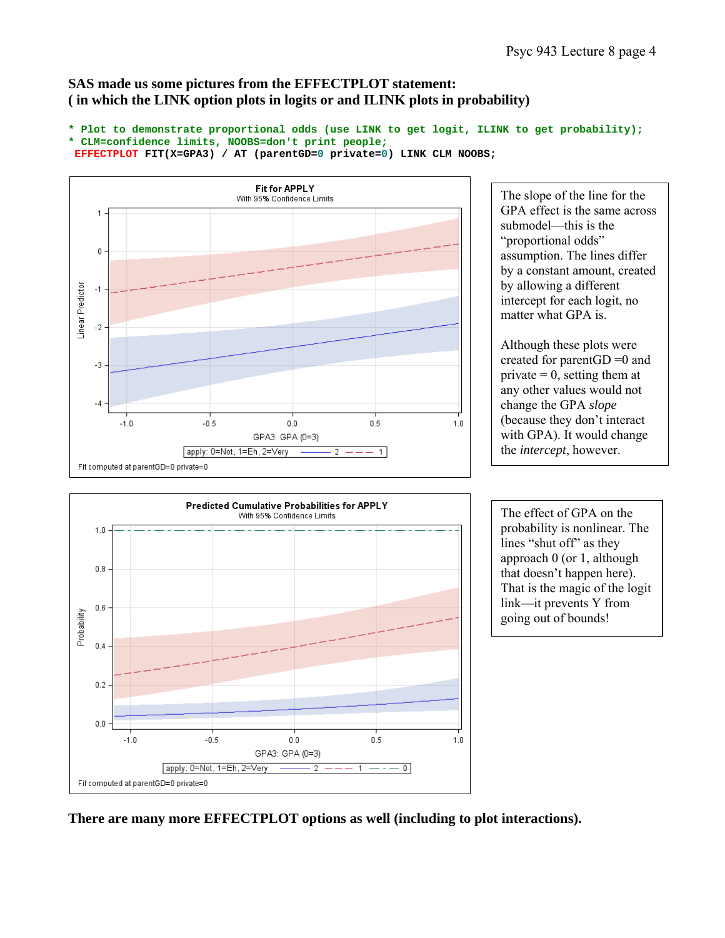# **SAS made us some pictures from the EFFECTPLOT statement: ( in which the LINK option plots in logits or and ILINK plots in probability)**

```
* Plot to demonstrate proportional odds (use LINK to get logit, ILINK to get probability);
* CLM=confidence limits, NOOBS=don't print people;
EFFECTPLOT FIT(X=GPA3) / AT (parentGD=0 private=0) LINK CLM NOOBS;
```


The slope of the line for the GPA effect is the same across submodel—this is the "proportional odds" assumption. The lines differ by a constant amount, created by allowing a different intercept for each logit, no matter what GPA is.

Although these plots were created for parentGD =0 and private  $= 0$ , setting them at any other values would not change the GPA *slope* (because they don't interact with GPA). It would change the *intercept*, however.



The effect of GPA on the probability is nonlinear. The lines "shut off" as they approach 0 (or 1, although that doesn't happen here). That is the magic of the logit link—it prevents Y from going out of bounds!

**There are many more EFFECTPLOT options as well (including to plot interactions).**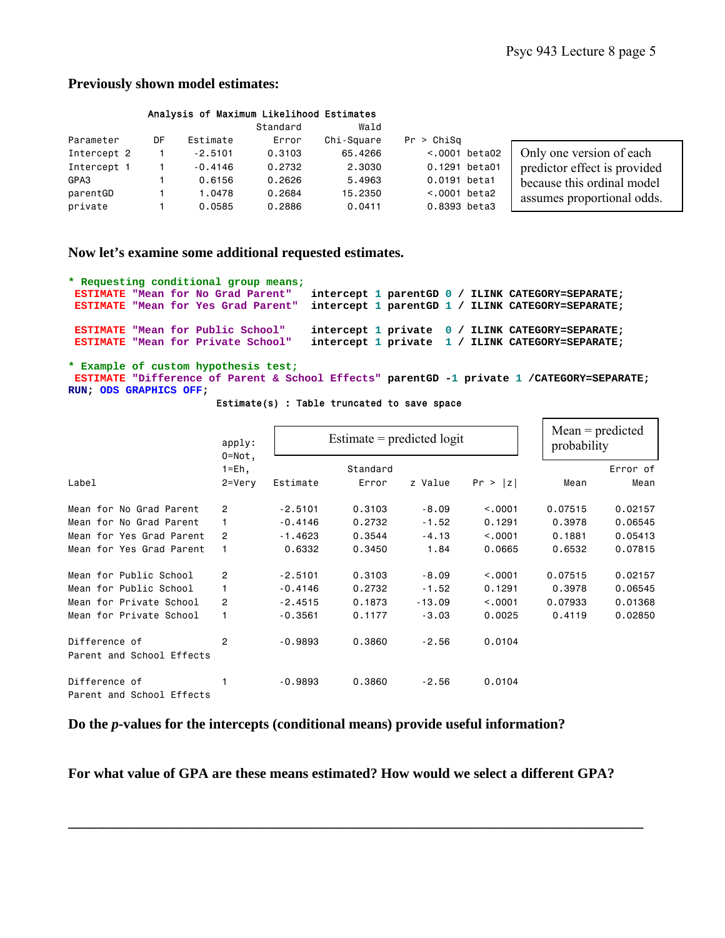$\Gamma$ 

## **Previously shown model estimates:**

### Analysis of Maximum Likelihood Estimates

|             |    |           | Standard | Wald       |                 |                              |
|-------------|----|-----------|----------|------------|-----------------|------------------------------|
| Parameter   | DF | Estimate  | Error    | Chi-Square | Pr > Chisq      |                              |
| Intercept 2 |    | $-2.5101$ | 0.3103   | 65,4266    | $< 0001$ beta02 | Only one version of each     |
| Intercept 1 |    | $-0.4146$ | 0.2732   | 2,3030     | 0.1291 beta01   | predictor effect is provided |
| GPA3        |    | 0.6156    | 0.2626   | 5,4963     | 0.0191 beta1    | because this ordinal model   |
| parentGD    |    | .0478     | 0.2684   | 15,2350    | $< 0001$ beta2  | assumes proportional odds.   |
| private     |    | 0.0585    | 0.2886   | 0.0411     | 0.8393 beta3    |                              |

### **Now let's examine some additional requested estimates.**

```
* Requesting conditional group means;
                                     intercept 1 parentGD 0 / ILINK CATEGORY=SEPARATE;
ESTIMATE "Mean for Yes Grad Parent" intercept 1 parentGD 1 / ILINK CATEGORY=SEPARATE; 
ESTIMATE "Mean for Public School" intercept 1 private 0 / ILINK CATEGORY=SEPARATE; 
                                     intercept 1 private 1 / ILINK CATEGORY=SEPARATE;
```
**\* Example of custom hypothesis test; ESTIMATE "Difference of Parent & School Effects" parentGD -1 private 1 /CATEGORY=SEPARATE; RUN; ODS GRAPHICS OFF;** 

#### Estimate(s) : Table truncated to save space

|                                            | apply:<br>$0 = Not.$ |           | Estimate $=$ predicted logit |          | $Mean = predicted$<br>probability |         |          |
|--------------------------------------------|----------------------|-----------|------------------------------|----------|-----------------------------------|---------|----------|
|                                            | $1 = Eh,$            |           | Standard                     |          |                                   |         | Error of |
| Label                                      | 2=Very               | Estimate  | Error                        | z Value  | Pr >  z                           | Mean    | Mean     |
| Mean for No Grad Parent                    | 2                    | $-2.5101$ | 0.3103                       | $-8.09$  | < 0.0001                          | 0.07515 | 0.02157  |
| Mean for No Grad Parent                    |                      | $-0.4146$ | 0.2732                       | $-1.52$  | 0.1291                            | 0.3978  | 0.06545  |
| Mean for Yes Grad Parent                   | 2                    | $-1.4623$ | 0.3544                       | $-4.13$  | < 0.0001                          | 0.1881  | 0.05413  |
| Mean for Yes Grad Parent                   |                      | 0.6332    | 0.3450                       | 1.84     | 0.0665                            | 0.6532  | 0.07815  |
| Mean for Public School                     | $\overline{2}$       | $-2.5101$ | 0.3103                       | $-8.09$  | < 0.0001                          | 0.07515 | 0.02157  |
| Mean for Public School                     |                      | $-0.4146$ | 0.2732                       | $-1.52$  | 0.1291                            | 0.3978  | 0.06545  |
| Mean for Private School                    | 2                    | $-2.4515$ | 0.1873                       | $-13.09$ | < 0.0001                          | 0.07933 | 0.01368  |
| Mean for Private School                    |                      | $-0.3561$ | 0.1177                       | $-3.03$  | 0.0025                            | 0.4119  | 0.02850  |
| Difference of<br>Parent and School Effects | 2                    | $-0.9893$ | 0.3860                       | $-2.56$  | 0.0104                            |         |          |
|                                            |                      |           |                              |          |                                   |         |          |
| Difference of<br>Parent and School Effects |                      | $-0.9893$ | 0.3860                       | $-2.56$  | 0.0104                            |         |          |

**Do the** *p***-values for the intercepts (conditional means) provide useful information?** 

**For what value of GPA are these means estimated? How would we select a different GPA?** 

**\_\_\_\_\_\_\_\_\_\_\_\_\_\_\_\_\_\_\_\_\_\_\_\_\_\_\_\_\_\_\_\_\_\_\_\_\_\_\_\_\_\_\_\_\_\_\_\_\_\_\_\_\_\_\_\_\_\_\_\_\_\_\_\_\_\_\_\_\_\_\_\_\_\_\_\_\_\_\_\_\_**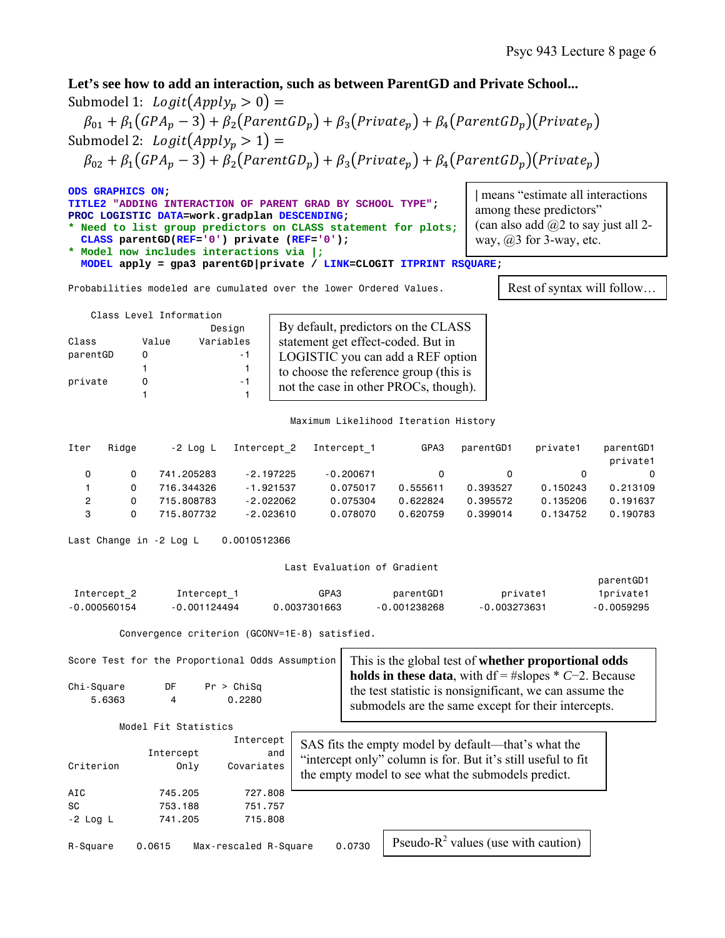**Let's see how to add an interaction, such as between ParentGD and Private School...**  Submodel 1:  $Logit(Apply_p > 0) =$ 

 $\beta_{01} + \beta_1(GPA_p - 3) + \beta_2(ParentGD_p) + \beta_3(Private_p) + \beta_4(ParentGD_p)(Private_p)$ Submodel 2:  $Logit(Apply_p > 1) =$ 

 $\beta_{02} + \beta_1(GPA_p - 3) + \beta_2(ParentGD_p) + \beta_3(Private_p) + \beta_4(ParentGD_p)(Private_p)$ 

| ODS GRAPHICS ON;<br>TITLE2 "ADDING INTERACTION OF PARENT GRAD BY SCHOOL TYPE";<br>PROC LOGISTIC DATA=work.gradplan DESCENDING;<br>* Need to list group predictors on CLASS statement for plots;<br>CLASS parentGD(REF='0') private (REF='0'); | means "estimate all interactions"<br>among these predictors"<br>(can also add $(a)2$ to say just all 2-<br>way, $(a)$ 3 for 3-way, etc. |
|-----------------------------------------------------------------------------------------------------------------------------------------------------------------------------------------------------------------------------------------------|-----------------------------------------------------------------------------------------------------------------------------------------|
| * Model now includes interactions via  ;                                                                                                                                                                                                      |                                                                                                                                         |
| MODEL apply = gpa3 parentGD private / LINK=CLOGIT ITPRINT RSQUARE;                                                                                                                                                                            |                                                                                                                                         |

Probabilities modeled are cumulated over the lower Ordered Values.

Rest of syntax will follow…

| Class Level Information |       |           |  |  |  |  |
|-------------------------|-------|-----------|--|--|--|--|
|                         |       | Design    |  |  |  |  |
| Class                   | Value | Variables |  |  |  |  |
| parentGD                | n     | - 1       |  |  |  |  |
|                         | 1     |           |  |  |  |  |
| private                 | n     | - 1       |  |  |  |  |
|                         |       |           |  |  |  |  |

By default, predictors on the CLASS statement get effect-coded. But in LOGISTIC you can add a REF option to choose the reference group (this is not the case in other PROCs, though).

Maximum Likelihood Iteration History

| Iter | Ridae | -2 Loa L   | Intercept 2 | Intercept 1 | GPA3     | parentGD1 | private1 | parentGD1<br>private1 |
|------|-------|------------|-------------|-------------|----------|-----------|----------|-----------------------|
| 0    | 0     | 741.205283 | $-2.197225$ | $-0.200671$ |          | $\Omega$  |          | 0                     |
|      | 0     | 716.344326 | $-1.921537$ | 0.075017    | 0.555611 | 0.393527  | 0.150243 | 0.213109              |
| 2    | 0     | 715.808783 | $-2.022062$ | 0.075304    | 0.622824 | 0.395572  | 0.135206 | 0.191637              |
| 3    | 0     | 715.807732 | $-2,023610$ | 0.078070    | 0.620759 | 0.399014  | 0.134752 | 0.190783              |

Last Change in -2 Log L 0.0010512366

#### Last Evaluation of Gradient

|                |                |              |                |                | parentGD1  |
|----------------|----------------|--------------|----------------|----------------|------------|
| Intercept 2    | Intercept 1    | GPA3         | parentGD1      | private1       | 1private1  |
| $-0.000560154$ | $-0.001124494$ | 0.0037301663 | $-0.001238268$ | $-0.003273631$ | -0.0059295 |

Convergence criterion (GCONV=1E-8) satisfied.

|                      |                      | Score Test for the Proportional Odds Assumption | This is the global test of <b>whether proportional odds</b>                                                                                                                        |
|----------------------|----------------------|-------------------------------------------------|------------------------------------------------------------------------------------------------------------------------------------------------------------------------------------|
| Chi-Square<br>5.6363 | DF<br>4              | Pr > Chisq<br>0.2280                            | <b>holds in these data</b> , with $df = #slopes * C-2$ . Because<br>the test statistic is nonsignificant, we can assume the<br>submodels are the same except for their intercepts. |
|                      | Model Fit Statistics |                                                 |                                                                                                                                                                                    |
| Criterion            | Intercept<br>Only    | Intercept<br>and<br>Covariates                  | SAS fits the empty model by default—that's what the<br>"intercept only" column is for. But it's still useful to fit<br>the empty model to see what the submodels predict.          |
| AIC                  | 745.205              | 727,808                                         |                                                                                                                                                                                    |
| SC                   | 753.188              | 751.757                                         |                                                                                                                                                                                    |
| $-2$ Log L           | 741.205              | 715,808                                         |                                                                                                                                                                                    |
|                      |                      |                                                 | $1 - 2 - 1$<br>$\mathcal{L}$ and $\mathcal{L}$ and $\mathcal{L}$ and $\mathcal{L}$<br><sup>n</sup>                                                                                 |

R-Square 0.0615 Max-rescaled R-Square 0.0730

Pseudo- $R^2$  values (use with caution)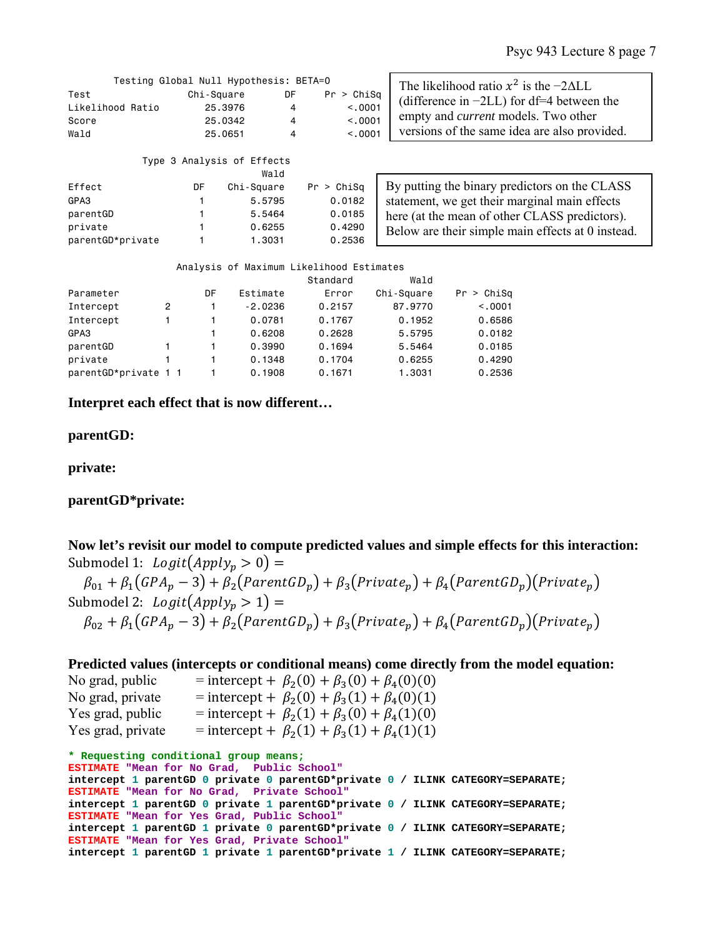|                                           | Testing Global Null Hypothesis: BETA=0      |                   | The likelihood ratio $x^2$ is the $-2\Delta LL$ |                                                                                                                                            |
|-------------------------------------------|---------------------------------------------|-------------------|-------------------------------------------------|--------------------------------------------------------------------------------------------------------------------------------------------|
| Test<br>Likelihood Ratio<br>Score<br>Wald | Chi-Square<br>25.3976<br>25,0342<br>25,0651 | DF<br>4<br>4<br>4 | Pr > Chisq<br>< 0.0001<br>< 0.001<br>< 0.0001   | (difference in $-2LL$ ) for df=4 between the<br>empty and <i>current</i> models. Two other<br>versions of the same idea are also provided. |
|                                           | Type 3 Analysis of Effects                  | Wald              |                                                 |                                                                                                                                            |

| Effect           | DF | Chi-Square | Pr > Chisq |
|------------------|----|------------|------------|
| GPA3             | 1. | 5.5795     | 0.0182     |
| parentGD         |    | 5.5464     | 0.0185     |
| private          |    | 0.6255     | 0.4290     |
| parentGD*private |    | 1.3031     | 0.2536     |

| By putting the binary predictors on the CLASS     |
|---------------------------------------------------|
| statement, we get their marginal main effects     |
| here (at the mean of other CLASS predictors).     |
| Below are their simple main effects at 0 instead. |

|                      |                |    |           | Analysis of Maximum Likelihood Estimates |            |            |
|----------------------|----------------|----|-----------|------------------------------------------|------------|------------|
|                      |                |    |           | Standard                                 | Wald       |            |
| Parameter            |                | DF | Estimate  | Error                                    | Chi-Square | Pr > Chisq |
| Intercept            | $\overline{2}$ |    | $-2.0236$ | 0.2157                                   | 87.9770    | < 0.001    |
| Intercept            |                |    | 0.0781    | 0.1767                                   | 0.1952     | 0.6586     |
| GPA3                 |                | 1  | 0.6208    | 0.2628                                   | 5.5795     | 0.0182     |
| parentGD             |                | 1  | 0.3990    | 0.1694                                   | 5.5464     | 0.0185     |
| private              |                |    | 0.1348    | 0.1704                                   | 0.6255     | 0.4290     |
| parentGD*private 1 1 |                |    | 0.1908    | 0.1671                                   | 1.3031     | 0.2536     |

**Interpret each effect that is now different…** 

**parentGD:** 

**private:** 

# **parentGD\*private:**

|                                    | Now let's revisit our model to compute predicted values and simple effects for this interaction: |  |
|------------------------------------|--------------------------------------------------------------------------------------------------|--|
| Submodel 1: $Logit(Apply_n > 0) =$ |                                                                                                  |  |

 $\beta_{01} + \beta_1(GPA_p - 3) + \beta_2(ParentGD_p) + \beta_3(Private_p) + \beta_4(ParentGD_p)(Private_p)$ Submodel 2:  $Logit(Apply_n > 1) =$  $\beta_{02} + \beta_1(GPA_p - 3) + \beta_2(ParentGD_p) + \beta_3(Private_p) + \beta_4(ParentGD_p)(Private_p)$ 

# **Predicted values (intercepts or conditional means) come directly from the model equation:**

| No grad, public   | = intercept + $\beta_2(0) + \beta_3(0) + \beta_4(0)(0)$ |
|-------------------|---------------------------------------------------------|
| No grad, private  | = intercept + $\beta_2(0) + \beta_3(1) + \beta_4(0)(1)$ |
| Yes grad, public  | = intercept + $\beta_2(1) + \beta_3(0) + \beta_4(1)(0)$ |
| Yes grad, private | = intercept + $\beta_2(1) + \beta_3(1) + \beta_4(1)(1)$ |
|                   |                                                         |

```
* Requesting conditional group means;
ESTIMATE "Mean for No Grad, Public School" 
intercept 1 parentGD 0 private 0 parentGD*private 0 / ILINK CATEGORY=SEPARATE; 
ESTIMATE "Mean for No Grad, Private School" 
intercept 1 parentGD 0 private 1 parentGD*private 0 / ILINK CATEGORY=SEPARATE; 
ESTIMATE "Mean for Yes Grad, Public School" 
intercept 1 parentGD 1 private 0 parentGD*private 0 / ILINK CATEGORY=SEPARATE; 
ESTIMATE "Mean for Yes Grad, Private School" 
intercept 1 parentGD 1 private 1 parentGD*private 1 / ILINK CATEGORY=SEPARATE;
```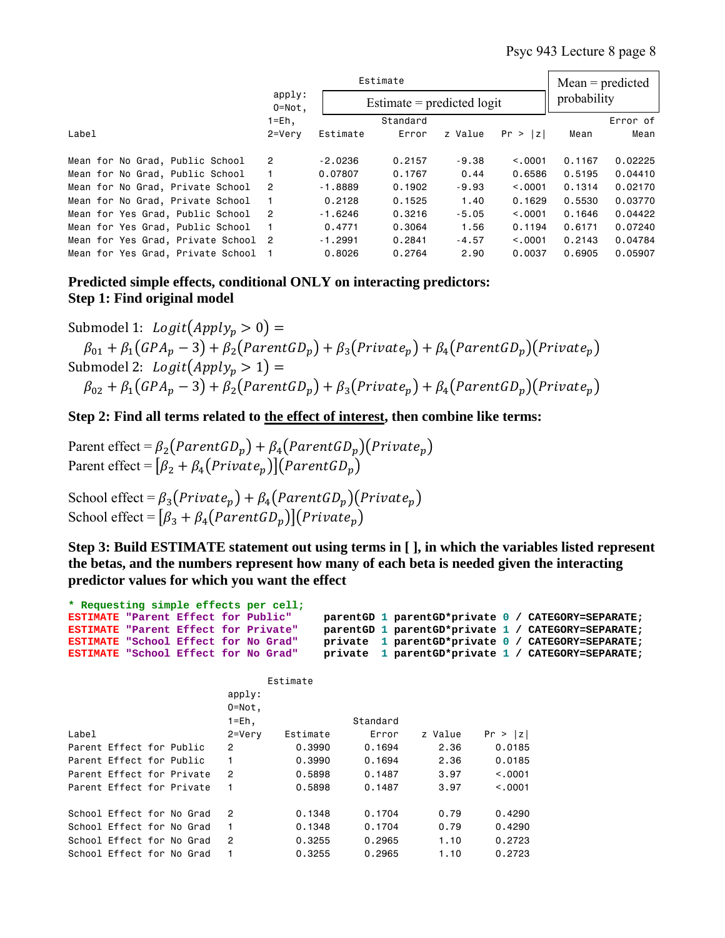|                                     |                      | Estimate                     |          | $Mean = predicted$ |          |        |             |  |
|-------------------------------------|----------------------|------------------------------|----------|--------------------|----------|--------|-------------|--|
|                                     | apply:<br>$0 = Not.$ | Estimate $=$ predicted logit |          |                    |          |        | probability |  |
|                                     | $1 = Eh$ ,           |                              | Standard |                    |          |        | Error of    |  |
| Label                               | $2 = Verv$           | Estimate                     | Error    | z Value            | Pr >  z  | Mean   | Mean        |  |
| Mean for No Grad, Public School     | $\overline{2}$       | $-2.0236$                    | 0.2157   | $-9.38$            | < 0.001  | 0.1167 | 0.02225     |  |
| Mean for No Grad, Public School     |                      | 0.07807                      | 0.1767   | 0.44               | 0.6586   | 0.5195 | 0.04410     |  |
| Mean for No Grad, Private School    | $\overline{2}$       | $-1.8889$                    | 0.1902   | $-9.93$            | < 0.0001 | 0.1314 | 0.02170     |  |
| Mean for No Grad, Private School    | 1                    | 0.2128                       | 0.1525   | 1.40               | 0.1629   | 0.5530 | 0.03770     |  |
| Mean for Yes Grad, Public School    | $\mathcal{P}$        | $-1.6246$                    | 0.3216   | $-5.05$            | < 0.001  | 0.1646 | 0.04422     |  |
| Mean for Yes Grad, Public School    |                      | 0.4771                       | 0.3064   | 1.56               | 0.1194   | 0.6171 | 0.07240     |  |
| Mean for Yes Grad, Private School 2 |                      | $-1.2991$                    | 0.2841   | $-4.57$            | < 0.001  | 0.2143 | 0.04784     |  |
| Mean for Yes Grad, Private School   |                      | 0.8026                       | 0.2764   | 2.90               | 0.0037   | 0.6905 | 0.05907     |  |

**Predicted simple effects, conditional ONLY on interacting predictors: Step 1: Find original model**

Submodel 1:  $Logit(Apply_n > 0) =$  $\beta_{01} + \beta_{1}(GPA_{p} - 3) + \beta_{2}(ParentGD_{p}) + \beta_{3}(Private_{p}) + \beta_{4}(ParentGD_{p})(Private_{p})$ Submodel 2:  $Logit(Apply_n > 1) =$  $\beta_{02} + \beta_1(GPA_p - 3) + \beta_2(ParentGD_p) + \beta_3(Private_p) + \beta_4(ParentGD_p)(Private_p)$ 

**Step 2: Find all terms related to the effect of interest, then combine like terms:**

Parent effect =  $\beta_2$ (ParentGD<sub>n</sub>) +  $\beta_4$ (ParentGD<sub>n</sub>)(Private<sub>n</sub>) Parent effect =  $[\beta_2 + \beta_4(Private_n)](ParentGD_n)$ 

School effect =  $\beta_3(Private_p) + \beta_4(ParentGD_p)(Private_p)$ School effect =  $[\beta_3 + \beta_4(ParentGD_p)](Private_n)$ 

**Step 3: Build ESTIMATE statement out using terms in [ ], in which the variables listed represent the betas, and the numbers represent how many of each beta is needed given the interacting predictor values for which you want the effect** 

| * Requesting simple effects per cell;       |  |               |          |          |         |         |                                                    |
|---------------------------------------------|--|---------------|----------|----------|---------|---------|----------------------------------------------------|
| ESTIMATE "Parent Effect for Public"         |  |               |          |          |         |         | parentGD 1 parentGD*private 0 / CATEGORY=SEPARATE; |
| <b>ESTIMATE "Parent Effect for Private"</b> |  |               |          |          |         |         | parentGD 1 parentGD*private 1 / CATEGORY=SEPARATE; |
| ESTIMATE "School Effect for No Grad"        |  |               |          |          |         |         | private 1 parentGD*private 0 / CATEGORY=SEPARATE;  |
| ESTIMATE "School Effect for No Grad"        |  |               |          |          |         |         | private 1 parentGD*private 1 / CATEGORY=SEPARATE;  |
|                                             |  |               |          |          |         |         |                                                    |
|                                             |  |               | Estimate |          |         |         |                                                    |
|                                             |  | apply:        |          |          |         |         |                                                    |
|                                             |  | $0 = Not.$    |          |          |         |         |                                                    |
|                                             |  | $1 = Eh$ ,    |          | Standard |         |         |                                                    |
| Label                                       |  | 2=Very        | Estimate | Error    | z Value | Pr >  z |                                                    |
| Parent Effect for Public                    |  | $\mathcal{P}$ | 0.3990   | 0.1694   | 2.36    | 0.0185  |                                                    |
| Parent Effect for Public                    |  |               | 0.3990   | 0.1694   | 2.36    | 0.0185  |                                                    |
| Parent Effect for Private                   |  | $\mathcal{P}$ | 0.5898   | 0.1487   | 3.97    | < 0.001 |                                                    |
| Parent Effect for Private                   |  |               | 0.5898   | 0.1487   | 3.97    | < 0.001 |                                                    |
|                                             |  |               |          |          |         |         |                                                    |
| School Effect for No Grad                   |  | $\mathcal{P}$ | 0.1348   | 0.1704   | 0.79    | 0.4290  |                                                    |
| School Effect for No Grad                   |  |               | 0.1348   | 0.1704   | 0.79    | 0.4290  |                                                    |
| School Effect for No Grad                   |  | $\mathcal{P}$ | 0.3255   | 0.2965   | 1.10    | 0.2723  |                                                    |
| School Effect for No Grad                   |  |               | 0.3255   | 0.2965   | 1.10    | 0.2723  |                                                    |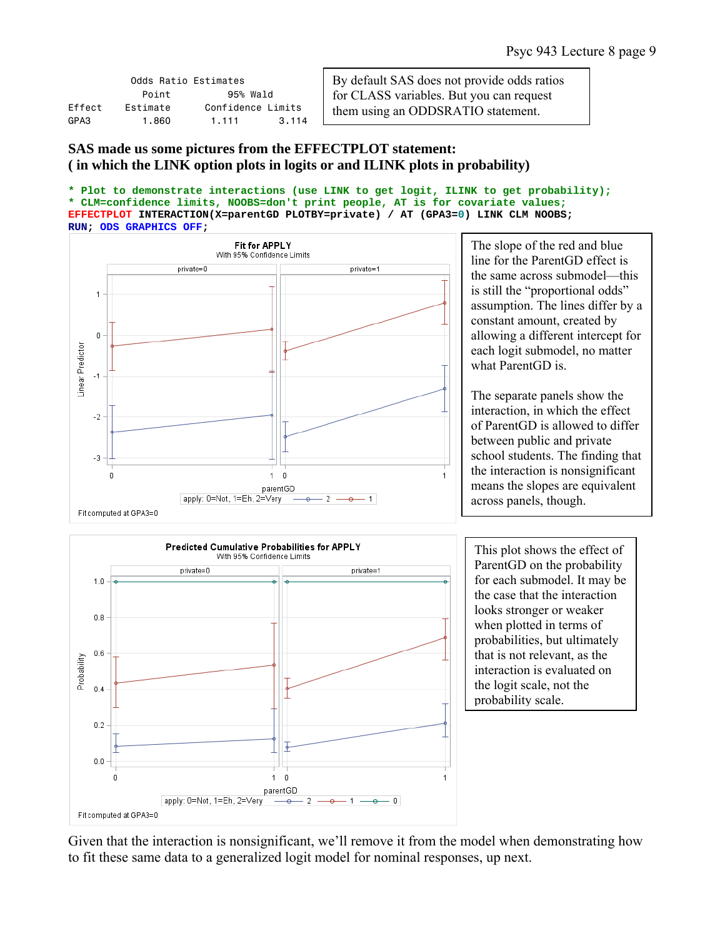|        | Odds Ratio Estimates |                   |       |
|--------|----------------------|-------------------|-------|
|        | Point                | 95% Wald          |       |
| Fffect | Fstimate             | Confidence Limits |       |
| GPA3   | 1.860                | 1.111             | 3.114 |

By default SAS does not provide odds ratios for CLASS variables. But you can request them using an ODDSRATIO statement.

# **SAS made us some pictures from the EFFECTPLOT statement: ( in which the LINK option plots in logits or and ILINK plots in probability)**

```
* Plot to demonstrate interactions (use LINK to get logit, ILINK to get probability);
* CLM=confidence limits, NOOBS=don't print people, AT is for covariate values;
EFFECTPLOT INTERACTION(X=parentGD PLOTBY=private) / AT (GPA3=0) LINK CLM NOOBS; 
RUN; ODS GRAPHICS OFF;
```


The slope of the red and blue line for the ParentGD effect is the same across submodel—this is still the "proportional odds" assumption. The lines differ by a constant amount, created by allowing a different intercept for each logit submodel, no matter what ParentGD is.

The separate panels show the interaction, in which the effect of ParentGD is allowed to differ between public and private school students. The finding that the interaction is nonsignificant means the slopes are equivalent across panels, though.



This plot shows the effect of ParentGD on the probability for each submodel. It may be the case that the interaction looks stronger or weaker when plotted in terms of probabilities, but ultimately that is not relevant, as the interaction is evaluated on the logit scale, not the probability scale.

Given that the interaction is nonsignificant, we'll remove it from the model when demonstrating how to fit these same data to a generalized logit model for nominal responses, up next.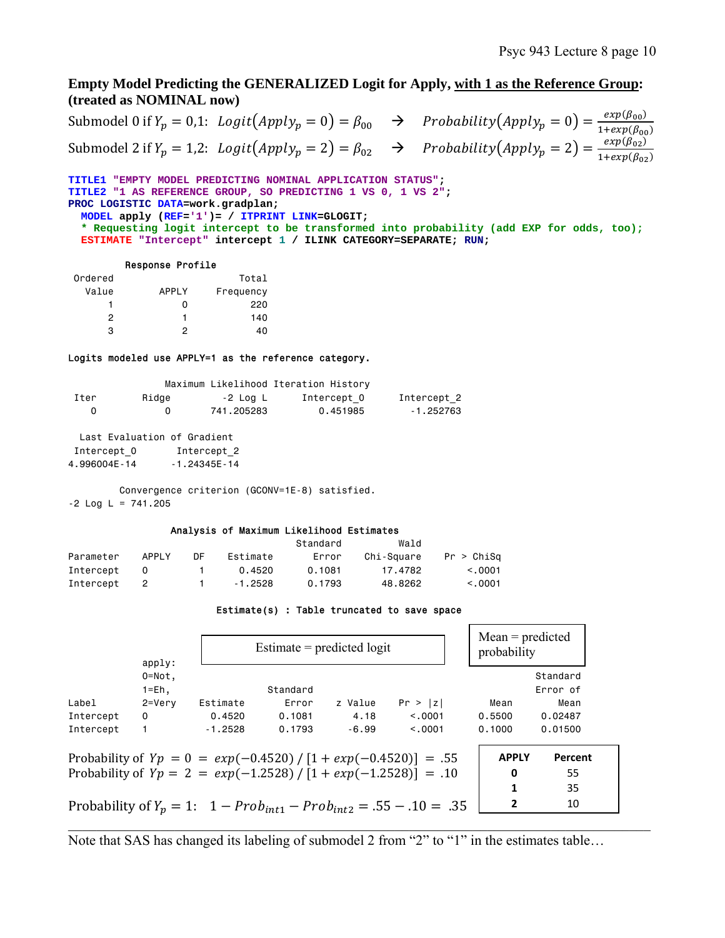# **Empty Model Predicting the GENERALIZED Logit for Apply, with 1 as the Reference Group: (treated as NOMINAL now)**

Submodel 0 if  $Y_p = 0,1$ :  $\text{Logit}(\text{Apply}_p = 0) = \beta_{00}$   $\rightarrow$  Probability $(\text{Apply}_p = 0) = \frac{\exp(\beta_{00})}{1 + \exp(\beta_{00})}$ Submodel 2 if  $Y_p = 1,2$ :  $\text{Logit}(Apply_p = 2) = \beta_{02}$   $\rightarrow$   $\text{Probability}(Apply_p = 2) = \frac{\exp(\beta_{02})}{1 + \exp(\beta_{02})}$ 

**TITLE1 "EMPTY MODEL PREDICTING NOMINAL APPLICATION STATUS"; TITLE2 "1 AS REFERENCE GROUP, SO PREDICTING 1 VS 0, 1 VS 2"; PROC LOGISTIC DATA=work.gradplan; MODEL apply (REF='1')= / ITPRINT LINK=GLOGIT; \* Requesting logit intercept to be transformed into probability (add EXP for odds, too); ESTIMATE "Intercept" intercept 1 / ILINK CATEGORY=SEPARATE; RUN;** 

#### Response Profile

| Ordered |       | Total     |
|---------|-------|-----------|
| Value   | APPLY | Frequency |
|         | n     | 220       |
| 2       |       | 140       |
| з       | 2     | 40        |

### Logits modeled use APPLY=1 as the reference category.

|      |          |            | Maximum Likelihood Iteration History |             |
|------|----------|------------|--------------------------------------|-------------|
| Iter | Ridge    | -2 Log L   | Intercept 0                          | Intercept 2 |
| n    | $\Omega$ | 741.205283 | 0.451985                             | - 1.252763  |

 Last Evaluation of Gradient Intercept 0 Intercept 2 4.996004E-14 -1.24345E-14

 Convergence criterion (GCONV=1E-8) satisfied.  $-2$  Log L = 741.205

#### Analysis of Maximum Likelihood Estimates

|           |        |    |           | Standard | Wald       |            |
|-----------|--------|----|-----------|----------|------------|------------|
| Parameter | APPI Y | DF | Estimate  | Error    | Chi-Sauare | Pr > Chisq |
| Intercept | - 0    |    | 0.4520    | 0.1081   | 17.4782    | < 0.001    |
| Intercept | - 2    |    | $-1.2528$ | 0.1793   | 48.8262    | < 0.001    |

#### Estimate(s) : Table truncated to save space

| apply:<br>$0 = Not.$<br>$1 = Eh,$ |           |          |         |          |                                                                                                                                        |                                                                                              |
|-----------------------------------|-----------|----------|---------|----------|----------------------------------------------------------------------------------------------------------------------------------------|----------------------------------------------------------------------------------------------|
|                                   |           |          |         |          |                                                                                                                                        | Standard                                                                                     |
|                                   |           | Standard |         |          |                                                                                                                                        | Error of                                                                                     |
| $2 = Verv$                        | Estimate  | Error    | z Value | Pr >  z  | Mean                                                                                                                                   | Mean                                                                                         |
| $\Omega$                          | 0.4520    | 0.1081   | 4.18    | < 0.0001 | 0.5500                                                                                                                                 | 0.02487                                                                                      |
| 1.                                | $-1.2528$ | 0.1793   | $-6.99$ | < 0.001  | 0.1000                                                                                                                                 | 0.01500                                                                                      |
|                                   |           |          |         |          |                                                                                                                                        | Percent                                                                                      |
|                                   |           |          |         |          | 0                                                                                                                                      | 55                                                                                           |
|                                   |           |          |         |          | 1                                                                                                                                      | 35                                                                                           |
|                                   |           |          |         |          | 2                                                                                                                                      | 10                                                                                           |
|                                   |           |          |         |          | Probability of $Yp = 0 = exp(-0.4520) / [1 + exp(-0.4520)] = .55$<br>Probability of $Yp = 2 = exp(-1.2528) / [1 + exp(-1.2528)] = .10$ | <b>APPLY</b><br>Probability of $Y_p = 1$ : $1 - Prob_{int1} - Prob_{int2} = .55 - .10 = .35$ |

Note that SAS has changed its labeling of submodel 2 from "2" to "1" in the estimates table…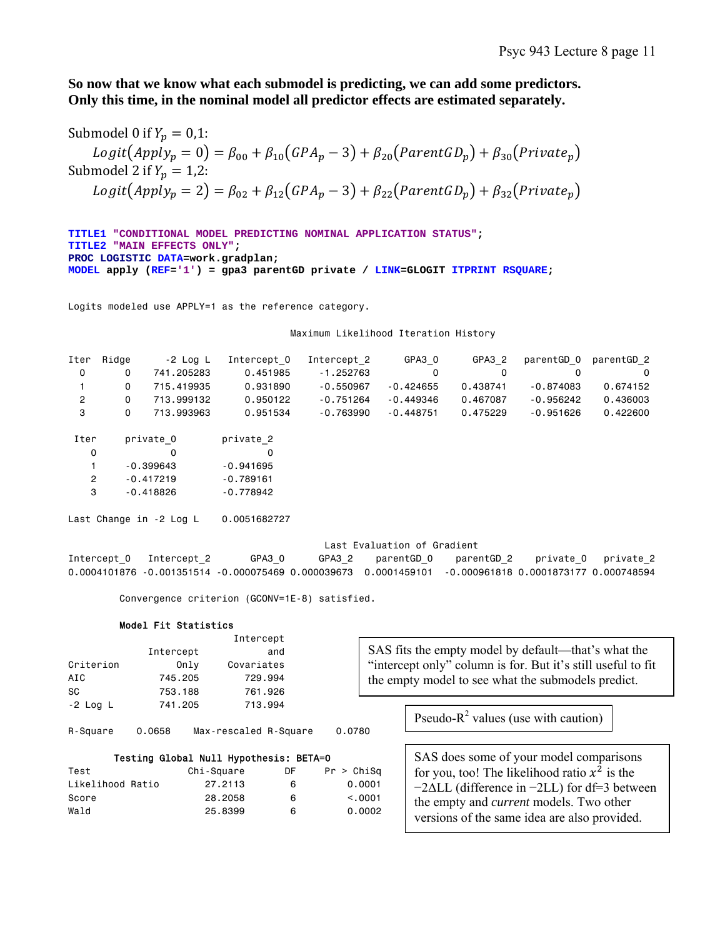**So now that we know what each submodel is predicting, we can add some predictors. Only this time, in the nominal model all predictor effects are estimated separately.** 

Submodel 0 if  $Y_p = 0.1$ :  $Logit(App\ddot{I}y_p = 0) = \beta_{00} + \beta_{10}(GPA_p - 3) + \beta_{20}(ParentGD_p) + \beta_{30}(Private_p)$ Submodel 2 if  $Y_n = 1,2$ :  $Logit(Apply_p = 2) = \beta_{02} + \beta_{12} (GPA_p - 3) + \beta_{22} (ParentGD_p) + \beta_{32} (Private_p)$ 

```
TITLE1 "CONDITIONAL MODEL PREDICTING NOMINAL APPLICATION STATUS"; 
TITLE2 "MAIN EFFECTS ONLY"; 
PROC LOGISTIC DATA=work.gradplan; 
MODEL apply (REF='1') = gpa3 parentGD private / LINK=GLOGIT ITPRINT RSQUARE;
```
Logits modeled use APPLY=1 as the reference category.

Maximum Likelihood Iteration History

| Iter | Ridae        | -2 Loa L   | Intercept 0 | Intercept 2 | GPA3 0      | GPA3 2   | parentGD 0 parentGD 2 |          |
|------|--------------|------------|-------------|-------------|-------------|----------|-----------------------|----------|
|      | 0            | 741.205283 | 0.451985    | $-1.252763$ |             |          |                       | $\Omega$ |
|      | O.           | 715.419935 | 0.931890    | $-0.550967$ | $-0.424655$ | 0.438741 | -0.874083             | 0.674152 |
|      | <sup>o</sup> | 713.999132 | 0.950122    | $-0.751264$ | $-0.449346$ | 0.467087 | $-0.956242$           | 0.436003 |
|      | 0            | 713.993963 | 0.951534    | -0.763990   | $-0.448751$ | 0.475229 | -0.951626             | 0.422600 |

| Iter | private 0   | private 2   |
|------|-------------|-------------|
| n    |             |             |
| 1    | $-0.399643$ | $-0.941695$ |
| 2    | $-0.417219$ | $-0.789161$ |
| з    | $-0.418826$ | $-0.778942$ |

Last Change in -2 Log L 0.0051682727

Last Evaluation of Gradient

Intercept\_0 Intercept\_2 GPA3\_0 GPA3\_2 parentGD\_0 parentGD\_2 private\_0 private\_2 0.0004101876 -0.001351514 -0.000075469 0.000039673 0.0001459101 -0.000961818 0.0001873177 0.000748594

Convergence criterion (GCONV=1E-8) satisfied.

#### Model Fit Statistics

|                  |           |                                        | Intercept |            |                                                              |                                                        |  |  |  |  |
|------------------|-----------|----------------------------------------|-----------|------------|--------------------------------------------------------------|--------------------------------------------------------|--|--|--|--|
|                  | Intercept |                                        | and       |            |                                                              | SAS fits the empty model by default—that's what the    |  |  |  |  |
| Criterion        |           | Covariates<br>Only                     |           |            | "intercept only" column is for. But it's still useful to fit |                                                        |  |  |  |  |
| AIC              | 745,205   |                                        | 729.994   |            | the empty model to see what the submodels predict.           |                                                        |  |  |  |  |
| SC.              | 753,188   |                                        | 761.926   |            |                                                              |                                                        |  |  |  |  |
| $-2$ Log L       | 741.205   |                                        | 713.994   |            |                                                              | Pseudo- $R^2$ values (use with caution)                |  |  |  |  |
| R-Square         | 0.0658    | Max-rescaled R-Square                  |           | 0.0780     |                                                              |                                                        |  |  |  |  |
|                  |           | Testing Global Null Hypothesis: BETA=0 |           |            |                                                              | SAS does some of your model comparisons                |  |  |  |  |
| Test             |           | Chi-Square                             | DF        | Pr > Chisq |                                                              | for you, too! The likelihood ratio $x^2$ is the        |  |  |  |  |
| Likelihood Ratio |           | 27,2113                                | 6         |            | 0.0001                                                       | $-2\Delta LL$ (difference in $-2LL$ ) for df=3 between |  |  |  |  |
| Score            |           | 28,2058                                | 6         |            | < 0.001                                                      | the empty and <i>current</i> models. Two other         |  |  |  |  |
| Wald             |           | 25.8399                                | 6         |            | 0.0002                                                       | versions of the same idea are also provided.           |  |  |  |  |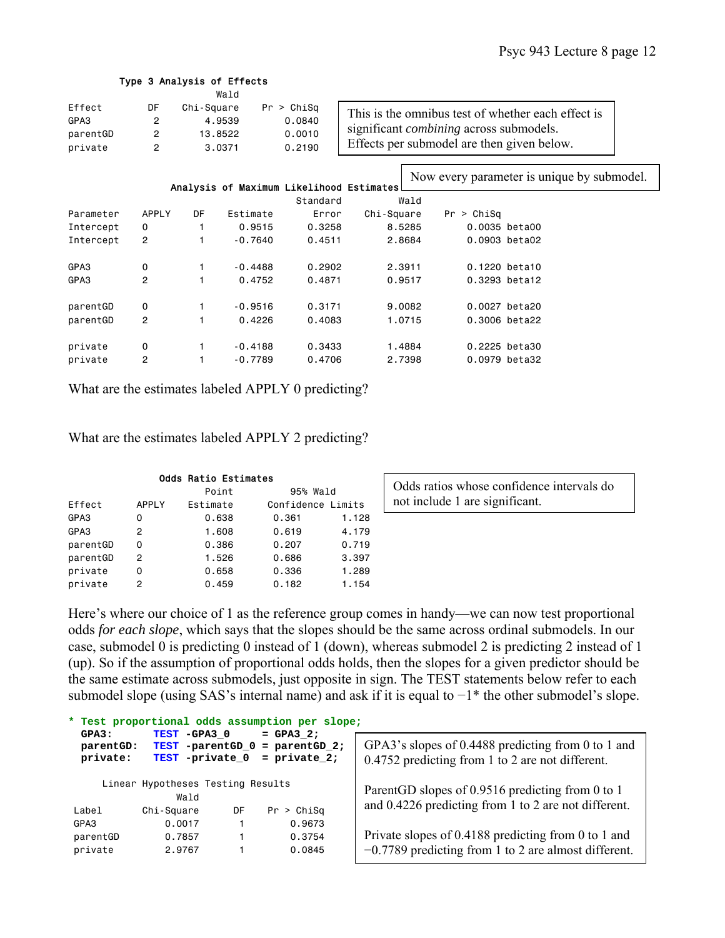|                                       |                                                                                                                    |    | Type 3 Analysis of Effects |                                          |            |        |                                                                                                                                                    |               |  |
|---------------------------------------|--------------------------------------------------------------------------------------------------------------------|----|----------------------------|------------------------------------------|------------|--------|----------------------------------------------------------------------------------------------------------------------------------------------------|---------------|--|
| Effect<br>GPA3<br>parentGD<br>private | Wald<br>DF<br>Chi-Square<br>Pr > Chisq<br>2<br>4.9539<br>0.0840<br>2<br>13,8522<br>0.0010<br>2<br>3.0371<br>0.2190 |    |                            |                                          |            |        | This is the omnibus test of whether each effect is<br>significant <i>combining</i> across submodels.<br>Effects per submodel are then given below. |               |  |
|                                       |                                                                                                                    |    |                            | Analysis of Maximum Likelihood Estimates |            |        | Now every parameter is unique by submodel.                                                                                                         |               |  |
|                                       |                                                                                                                    |    |                            | Standard                                 |            | Wald   |                                                                                                                                                    |               |  |
| Parameter                             | <b>APPLY</b>                                                                                                       | DF | Estimate                   | Error                                    | Chi-Square |        | Pr > Chisq                                                                                                                                         |               |  |
| Intercept                             | 0                                                                                                                  |    | 0.9515                     | 0.3258                                   |            | 8.5285 |                                                                                                                                                    | 0.0035 beta00 |  |
| Intercept                             | 2                                                                                                                  |    | $-0.7640$                  | 0.4511                                   |            | 2.8684 |                                                                                                                                                    | 0.0903 beta02 |  |
| GPA3                                  | 0                                                                                                                  |    | $-0.4488$                  | 0.2902                                   | 2.3911     |        |                                                                                                                                                    | 0.1220 beta10 |  |
| GPA3                                  | $\overline{c}$                                                                                                     |    | 0.4752                     | 0.4871                                   |            | 0.9517 |                                                                                                                                                    | 0.3293 beta12 |  |
| parentGD                              | 0                                                                                                                  |    | $-0.9516$                  | 0.3171                                   |            | 9,0082 |                                                                                                                                                    | 0.0027 beta20 |  |
| parentGD                              | $\overline{c}$                                                                                                     |    | 0.4226                     | 0.4083                                   |            | 1.0715 |                                                                                                                                                    | 0.3006 beta22 |  |
| private                               | 0                                                                                                                  |    | $-0.4188$                  | 0.3433                                   |            | 1,4884 |                                                                                                                                                    | 0.2225 beta30 |  |
| private                               | 2                                                                                                                  |    | $-0.7789$                  | 0.4706                                   | 2.7398     |        |                                                                                                                                                    | 0.0979 beta32 |  |

What are the estimates labeled APPLY 0 predicting?

What are the estimates labeled APPLY 2 predicting?

| <b>Odds Ratio Estimates</b> |              |          |                   |          |  |  |  |  |  |  |
|-----------------------------|--------------|----------|-------------------|----------|--|--|--|--|--|--|
|                             |              | Point    |                   | 95% Wald |  |  |  |  |  |  |
| Effect                      | <b>APPLY</b> | Estimate | Confidence Limits |          |  |  |  |  |  |  |
| GPA3                        | 0            | 0.638    | 0.361             | 1.128    |  |  |  |  |  |  |
| GPA3                        | 2            | 1.608    | 0.619             | 4.179    |  |  |  |  |  |  |
| parentGD                    | 0            | 0.386    | 0.207             | 0.719    |  |  |  |  |  |  |
| parentGD                    | 2            | 1.526    | 0.686             | 3,397    |  |  |  |  |  |  |
| private                     | 0            | 0.658    | 0.336             | 1.289    |  |  |  |  |  |  |
| private                     | 2            | 0.459    | 0.182             | 1.154    |  |  |  |  |  |  |

Odds ratios whose confidence intervals do not include 1 are significant.

Here's where our choice of 1 as the reference group comes in handy—we can now test proportional odds *for each slope*, which says that the slopes should be the same across ordinal submodels. In our case, submodel 0 is predicting 0 instead of 1 (down), whereas submodel 2 is predicting 2 instead of 1 (up). So if the assumption of proportional odds holds, then the slopes for a given predictor should be the same estimate across submodels, just opposite in sign. The TEST statements below refer to each submodel slope (using SAS's internal name) and ask if it is equal to −1\* the other submodel's slope.

| * Test proportional odds assumption per slope;<br>TEST -GPA3 0 |                                     |    |                                                  |                                                                                                        |  |  |  |  |
|----------------------------------------------------------------|-------------------------------------|----|--------------------------------------------------|--------------------------------------------------------------------------------------------------------|--|--|--|--|
| GPA3:<br>parentGD:<br>private:                                 | TEST -parentGD 0<br>TEST -private 0 |    | $=$ GPA3 2;<br>$=$ parentGD 2;<br>$=$ private 2; | GPA3's slopes of 0.4488 predicting from 0 to 1 and<br>0.4752 predicting from 1 to 2 are not different. |  |  |  |  |
| Linear Hypotheses Testing Results<br>Wald                      |                                     |    |                                                  | ParentGD slopes of 0.9516 predicting from 0 to 1                                                       |  |  |  |  |
| Label                                                          | Chi-Square                          | DF | Pr > Chisq                                       | and 0.4226 predicting from 1 to 2 are not different.                                                   |  |  |  |  |
| GPA3                                                           | 0.0017                              |    | 0.9673                                           |                                                                                                        |  |  |  |  |
| parentGD                                                       | 0.7857                              |    | 0.3754                                           | Private slopes of 0.4188 predicting from 0 to 1 and                                                    |  |  |  |  |
| private                                                        | 2.9767                              |    | 0.0845                                           | $-0.7789$ predicting from 1 to 2 are almost different.                                                 |  |  |  |  |